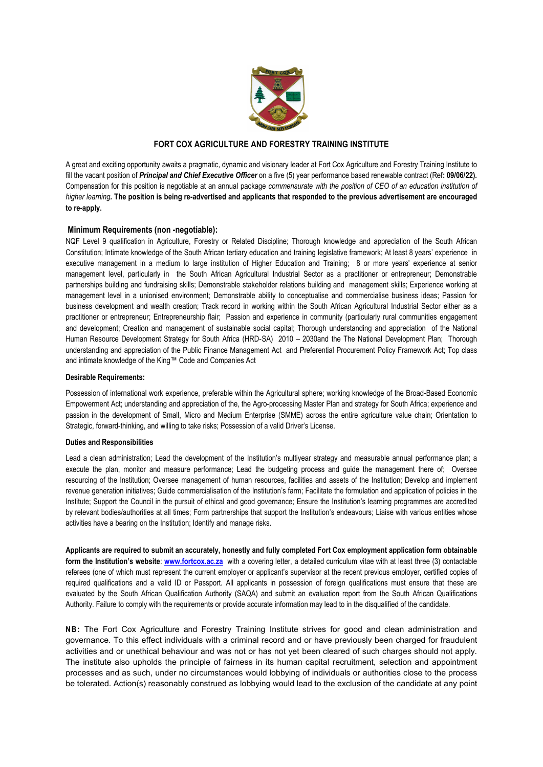

## **FORT COX AGRICULTURE AND FORESTRY TRAINING INSTITUTE**

A great and exciting opportunity awaits a pragmatic, dynamic and visionary leader at Fort Cox Agriculture and Forestry Training Institute to fill the vacant position of *Principal and Chief Executive Officer* on a five (5) year performance based renewable contract (Ref**: 09/06/22).** Compensation for this position isnegotiable at an annual package *commensurate with the position of CEO of an education institution of* higher learning. The position is being re-advertised and applicants that responded to the previous advertisement are encouraged **to re-apply.**

## **Minimum Requirements (non -negotiable):**

NQF Level 9 qualification in Agriculture, Forestry or Related Discipline; Thorough knowledge and appreciation of the South African Constitution; Intimate knowledge of the South African tertiary education and training legislative framework; At least 8 years' experience in executive management in a medium to large institution of Higher Education and Training; 8 or more years' experience at senior management level, particularly in the South African Agricultural Industrial Sector as a practitioner or entrepreneur; Demonstrable partnerships building and fundraising skills; Demonstrable stakeholder relations building and management skills; Experience working at management level in a unionised environment; Demonstrable ability to conceptualise and commercialise business ideas; Passion for business development and wealth creation; Track record in working within the South African Agricultural Industrial Sector either as a practitioner or entrepreneur; Entrepreneurship flair; Passion and experience in community (particularly rural communities engagement and development; Creation and management of sustainable social capital; Thorough understanding and appreciation of the National Human Resource Development Strategy for South Africa (HRD‐SA) 2010 – 2030and the The National Development Plan; Thorough understanding and appreciation of the Public Finance Management Act and Preferential Procurement Policy Framework Act; Top class and intimate knowledge of the King™ Code and Companies Act

## **Desirable Requirements:**

Possession of international work experience, preferable within the Agricultural sphere; working knowledge of the Broad-Based Economic Empowerment Act; understanding and appreciation of the, the Agro-processing Master Plan and strategy for South Africa; experience and passion in the development of Small, Micro and Medium Enterprise (SMME) across the entire agriculture value chain; Orientation to Strategic, forward-thinking, and willing to take risks; Possession of a valid Driver's License.

## **Duties and Responsibilities**

Lead a clean administration; Lead the development of the Institution's multiyear strategy and measurable annual performance plan; a execute the plan, monitor and measure performance; Lead the budgeting process and guide the management there of; Oversee resourcing of the Institution; Oversee management of human resources, facilities and assets of the Institution; Develop and implement revenue generation initiatives; Guide commercialisation of the Institution's farm; Facilitate the formulation and application of policies in the Institute; Support the Council in the pursuit of ethical and good governance; Ensure the Institution's learning programmes are accredited by relevant bodies/authorities at all times; Form partnerships that support the Institution's endeavours; Liaise with various entities whose activities have a bearing on the Institution; Identify and manage risks.

Applicants are required to submit an accurately, honestly and fully completed Fort Cox employment application form obtainable **form the Institution's website**: **[www.fortcox.ac.za](http://www.fortcox.ac.za)** with a covering letter, a detailed curriculum vitae with at least three (3) contactable referees (one of which must represent the current employer or applicant's supervisor at the recent previous employer, certified copies of required qualifications and a valid ID or Passport. All applicants in possession of foreign qualifications must ensure that these are evaluated by the South African Qualification Authority (SAQA) and submit an evaluation report from the South African Qualifications Authority. Failure to comply with the requirements or provide accurate information may lead to in the disqualified of the candidate.

**NB:** The Fort Cox Agriculture and Forestry Training Institute strives for good and clean administration and governance. To this effect individuals with a criminal record and or have previously been charged for fraudulent activities and or unethical behaviour and was not or has not yet been cleared of such charges should not apply. The institute also upholds the principle of fairness in its human capital recruitment, selection and appointment processes and as such, under no circumstances would lobbying of individuals or authorities close to the process be tolerated. Action(s) reasonably construed as lobbying would lead to the exclusion of the candidate at any point